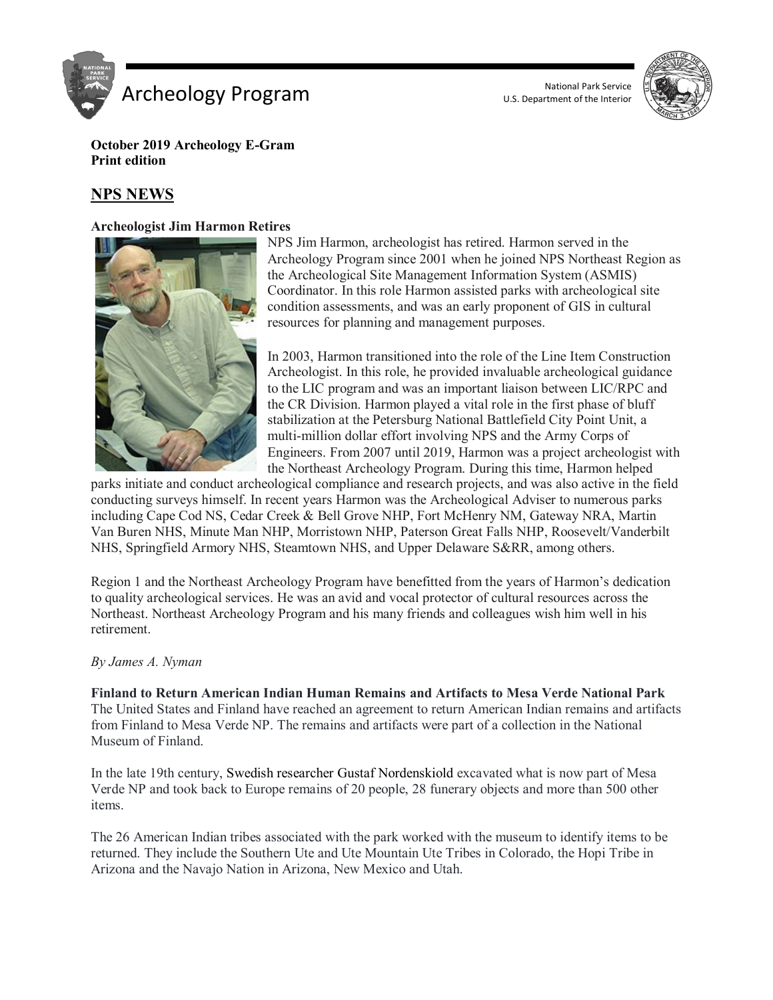

U.S. Department of the Interior



**October 2019 Archeology E-Gram Print edition**

# **NPS NEWS**

#### **Archeologist Jim Harmon Retires**



NPS Jim Harmon, archeologist has retired. Harmon served in the Archeology Program since 2001 when he joined NPS Northeast Region as the Archeological Site Management Information System (ASMIS) Coordinator. In this role Harmon assisted parks with archeological site condition assessments, and was an early proponent of GIS in cultural resources for planning and management purposes.

In 2003, Harmon transitioned into the role of the Line Item Construction Archeologist. In this role, he provided invaluable archeological guidance to the LIC program and was an important liaison between LIC/RPC and the CR Division. Harmon played a vital role in the first phase of bluff stabilization at the Petersburg National Battlefield City Point Unit, a multi-million dollar effort involving NPS and the Army Corps of Engineers. From 2007 until 2019, Harmon was a project archeologist with the Northeast Archeology Program. During this time, Harmon helped

parks initiate and conduct archeological compliance and research projects, and was also active in the field conducting surveys himself. In recent years Harmon was the Archeological Adviser to numerous parks including Cape Cod NS, Cedar Creek & Bell Grove NHP, Fort McHenry NM, Gateway NRA, Martin Van Buren NHS, Minute Man NHP, Morristown NHP, Paterson Great Falls NHP, Roosevelt/Vanderbilt NHS, Springfield Armory NHS, Steamtown NHS, and Upper Delaware S&RR, among others.

Region 1 and the Northeast Archeology Program have benefitted from the years of Harmon's dedication to quality archeological services. He was an avid and vocal protector of cultural resources across the Northeast. Northeast Archeology Program and his many friends and colleagues wish him well in his retirement.

#### *By James A. Nyman*

**Finland to Return American Indian Human Remains and Artifacts to Mesa Verde National Park** The United States and Finland have reached an agreement to return American Indian remains and artifacts from Finland to Mesa Verde NP. The remains and artifacts were part of a collection in the National Museum of Finland.

In the late 19th century, Swedish researcher Gustaf Nordenskiold excavated what is now part of Mesa Verde NP and took back to Europe remains of 20 people, 28 funerary objects and more than 500 other items.

The 26 American Indian tribes associated with the park worked with the museum to identify items to be returned. They include the Southern Ute and Ute Mountain Ute Tribes in Colorado, the Hopi Tribe in Arizona and the Navajo Nation in Arizona, New Mexico and Utah.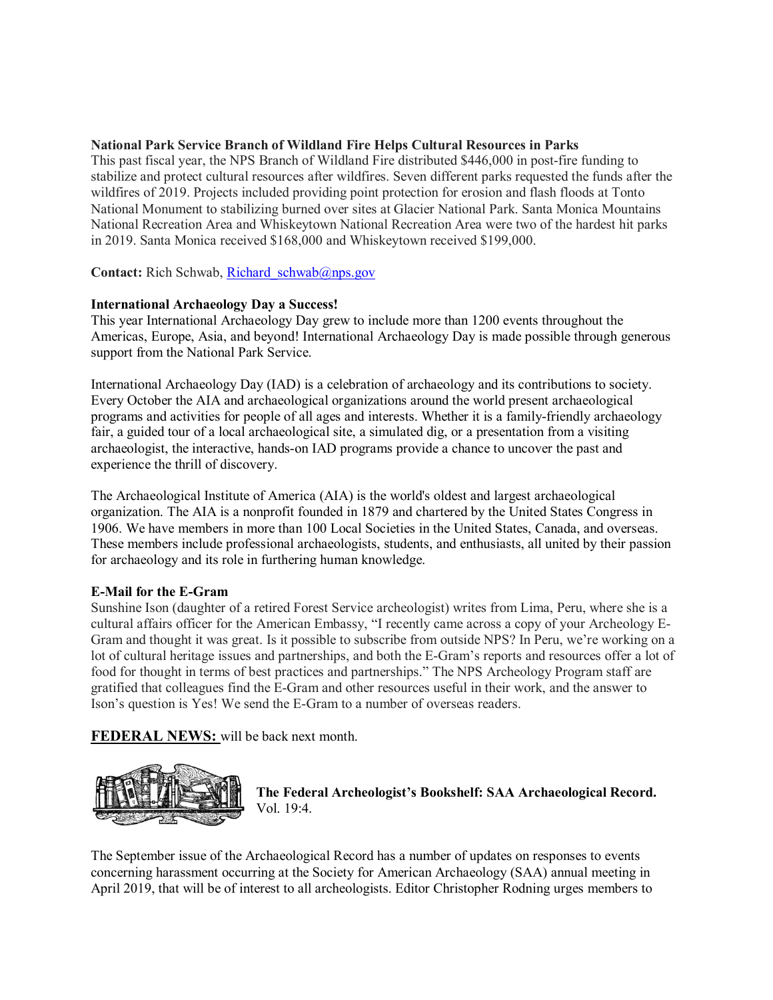### **National Park Service Branch of Wildland Fire Helps Cultural Resources in Parks**

This past fiscal year, the NPS Branch of Wildland Fire distributed \$446,000 in post-fire funding to stabilize and protect cultural resources after wildfires. Seven different parks requested the funds after the wildfires of 2019. Projects included providing point protection for erosion and flash floods at Tonto National Monument to stabilizing burned over sites at Glacier National Park. Santa Monica Mountains National Recreation Area and Whiskeytown National Recreation Area were two of the hardest hit parks in 2019. Santa Monica received \$168,000 and Whiskeytown received \$199,000.

**Contact:** Rich Schwab, Richard schwab@nps.gov

#### **International Archaeology Day a Success!**

This year International Archaeology Day grew to include more than 1200 events throughout the Americas, Europe, Asia, and beyond! International Archaeology Day is made possible through generous support from the National Park Service.

International Archaeology Day (IAD) is a celebration of archaeology and its contributions to society. Every October the AIA and archaeological organizations around the world present archaeological programs and activities for people of all ages and interests. Whether it is a family-friendly archaeology fair, a guided tour of a local archaeological site, a simulated dig, or a presentation from a visiting archaeologist, the interactive, hands-on IAD programs provide a chance to uncover the past and experience the thrill of discovery.

The Archaeological Institute of America (AIA) is the world's oldest and largest archaeological organization. The AIA is a nonprofit founded in 1879 and chartered by the United States Congress in 1906. We have members in more than 100 Local Societies in the United States, Canada, and overseas. These members include professional archaeologists, students, and enthusiasts, all united by their passion for archaeology and its role in furthering human knowledge.

## **E-Mail for the E-Gram**

Sunshine Ison (daughter of a retired Forest Service archeologist) writes from Lima, Peru, where she is a cultural affairs officer for the American Embassy, "I recently came across a copy of your Archeology E-Gram and thought it was great. Is it possible to subscribe from outside NPS? In Peru, we're working on a lot of cultural heritage issues and partnerships, and both the E-Gram's reports and resources offer a lot of food for thought in terms of best practices and partnerships." The NPS Archeology Program staff are gratified that colleagues find the E-Gram and other resources useful in their work, and the answer to Ison's question is Yes! We send the E-Gram to a number of overseas readers.

**FEDERAL NEWS:** will be back next month.



**The Federal Archeologist's Bookshelf: SAA Archaeological Record.** Vol. 19:4.

The September issue of the Archaeological Record has a number of updates on responses to events concerning harassment occurring at the Society for American Archaeology (SAA) annual meeting in April 2019, that will be of interest to all archeologists. Editor Christopher Rodning urges members to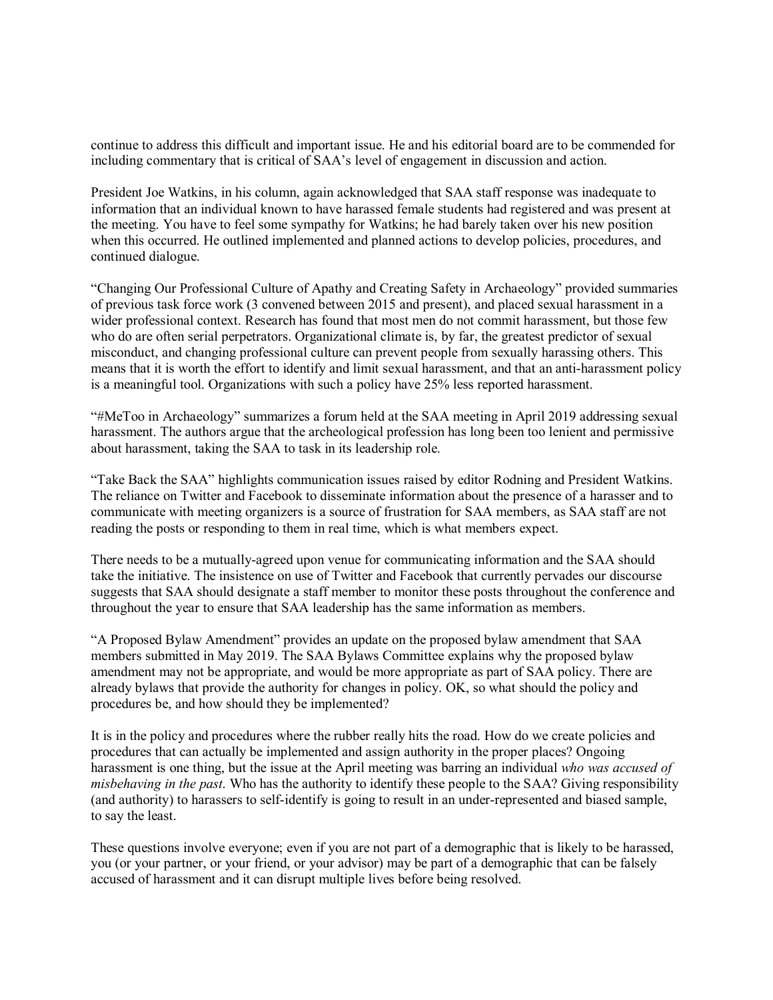continue to address this difficult and important issue. He and his editorial board are to be commended for including commentary that is critical of SAA's level of engagement in discussion and action.

President Joe Watkins, in his column, again acknowledged that SAA staff response was inadequate to information that an individual known to have harassed female students had registered and was present at the meeting. You have to feel some sympathy for Watkins; he had barely taken over his new position when this occurred. He outlined implemented and planned actions to develop policies, procedures, and continued dialogue.

"Changing Our Professional Culture of Apathy and Creating Safety in Archaeology" provided summaries of previous task force work (3 convened between 2015 and present), and placed sexual harassment in a wider professional context. Research has found that most men do not commit harassment, but those few who do are often serial perpetrators. Organizational climate is, by far, the greatest predictor of sexual misconduct, and changing professional culture can prevent people from sexually harassing others. This means that it is worth the effort to identify and limit sexual harassment, and that an anti-harassment policy is a meaningful tool. Organizations with such a policy have 25% less reported harassment.

"#MeToo in Archaeology" summarizes a forum held at the SAA meeting in April 2019 addressing sexual harassment. The authors argue that the archeological profession has long been too lenient and permissive about harassment, taking the SAA to task in its leadership role.

"Take Back the SAA" highlights communication issues raised by editor Rodning and President Watkins. The reliance on Twitter and Facebook to disseminate information about the presence of a harasser and to communicate with meeting organizers is a source of frustration for SAA members, as SAA staff are not reading the posts or responding to them in real time, which is what members expect.

There needs to be a mutually-agreed upon venue for communicating information and the SAA should take the initiative. The insistence on use of Twitter and Facebook that currently pervades our discourse suggests that SAA should designate a staff member to monitor these posts throughout the conference and throughout the year to ensure that SAA leadership has the same information as members.

"A Proposed Bylaw Amendment" provides an update on the proposed bylaw amendment that SAA members submitted in May 2019. The SAA Bylaws Committee explains why the proposed bylaw amendment may not be appropriate, and would be more appropriate as part of SAA policy. There are already bylaws that provide the authority for changes in policy. OK, so what should the policy and procedures be, and how should they be implemented?

It is in the policy and procedures where the rubber really hits the road. How do we create policies and procedures that can actually be implemented and assign authority in the proper places? Ongoing harassment is one thing, but the issue at the April meeting was barring an individual *who was accused of misbehaving in the past*. Who has the authority to identify these people to the SAA? Giving responsibility (and authority) to harassers to self-identify is going to result in an under-represented and biased sample, to say the least.

These questions involve everyone; even if you are not part of a demographic that is likely to be harassed, you (or your partner, or your friend, or your advisor) may be part of a demographic that can be falsely accused of harassment and it can disrupt multiple lives before being resolved.